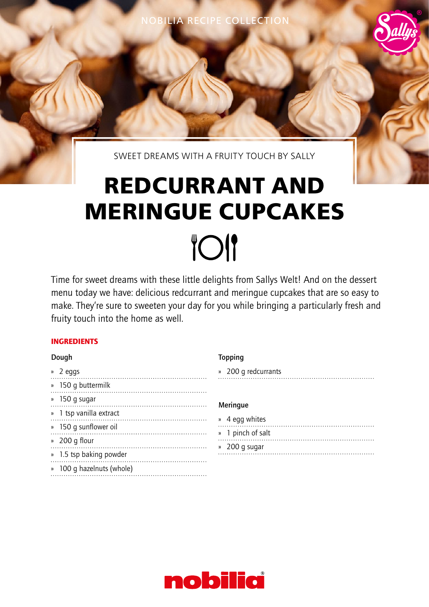NOBILIA RECIPE COLLECTION

SWEET DREAMS WITH A FRUITY TOUCH BY SALLY

# **REDCURRANT AND MERINGUE CUPCAKES TOI**

Time for sweet dreams with these little delights from Sallys Welt! And on the dessert menu today we have: delicious redcurrant and meringue cupcakes that are so easy to make. They're sure to sweeten your day for you while bringing a particularly fresh and fruity touch into the home as well.

# INGREDIENTS

## Dough

» 2 eggs » 150 g buttermilk » 150 g sugar » 1 tsp vanilla extract » 150 g sunflower oil » 200 g flour » 1.5 tsp baking powder » 100 g hazelnuts (whole)

## Topping

» 200 g redcurrants

## Meringue

| » 4 egg whites    |
|-------------------|
| » 1 pinch of salt |
| » 200 g sugar     |
|                   |